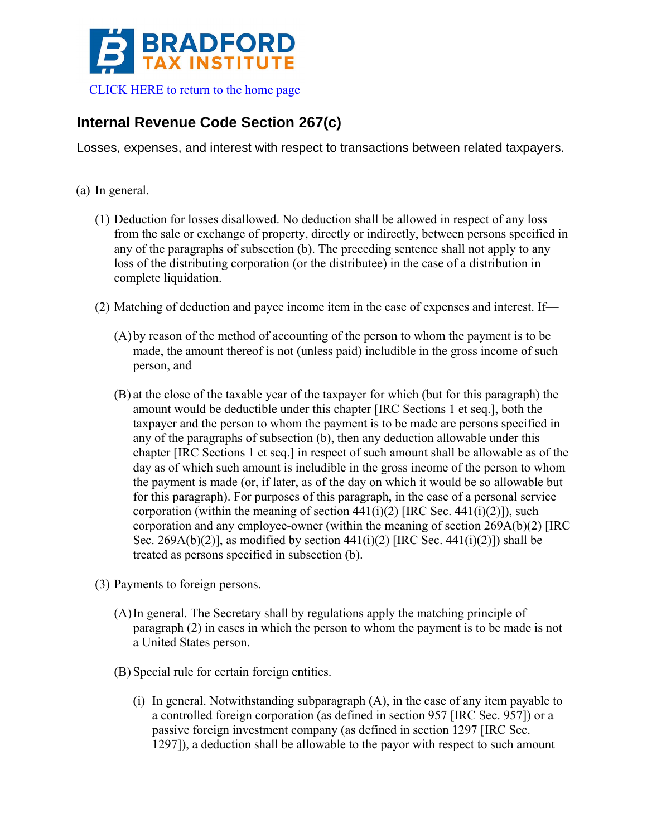

## **Internal Revenue Code Section 267(c)**

Losses, expenses, and interest with respect to transactions between related taxpayers.

- (a) In general.
	- (1) Deduction for losses disallowed. No deduction shall be allowed in respect of any loss from the sale or exchange of property, directly or indirectly, between persons specified in any of the paragraphs of subsection (b). The preceding sentence shall not apply to any loss of the distributing corporation (or the distributee) in the case of a distribution in complete liquidation.
	- (2) Matching of deduction and payee income item in the case of expenses and interest. If—
		- (A)by reason of the method of accounting of the person to whom the payment is to be made, the amount thereof is not (unless paid) includible in the gross income of such person, and
		- (B) at the close of the taxable year of the taxpayer for which (but for this paragraph) the amount would be deductible under this chapter [IRC Sections 1 et seq.], both the taxpayer and the person to whom the payment is to be made are persons specified in any of the paragraphs of subsection (b), then any deduction allowable under this chapter [IRC Sections 1 et seq.] in respect of such amount shall be allowable as of the day as of which such amount is includible in the gross income of the person to whom the payment is made (or, if later, as of the day on which it would be so allowable but for this paragraph). For purposes of this paragraph, in the case of a personal service corporation (within the meaning of section  $441(i)(2)$  [IRC Sec.  $441(i)(2)$ ]), such corporation and any employee-owner (within the meaning of section 269A(b)(2) [IRC Sec. 269A(b)(2)], as modified by section  $441(i)(2)$  [IRC Sec.  $441(i)(2)$ ]) shall be treated as persons specified in subsection (b).
	- (3) Payments to foreign persons.
		- (A)In general. The Secretary shall by regulations apply the matching principle of paragraph (2) in cases in which the person to whom the payment is to be made is not a United States person.
		- (B) Special rule for certain foreign entities.
			- (i) In general. Notwithstanding subparagraph (A), in the case of any item payable to a controlled foreign corporation (as defined in section 957 [IRC Sec. 957]) or a passive foreign investment company (as defined in section 1297 [IRC Sec. 1297]), a deduction shall be allowable to the payor with respect to such amount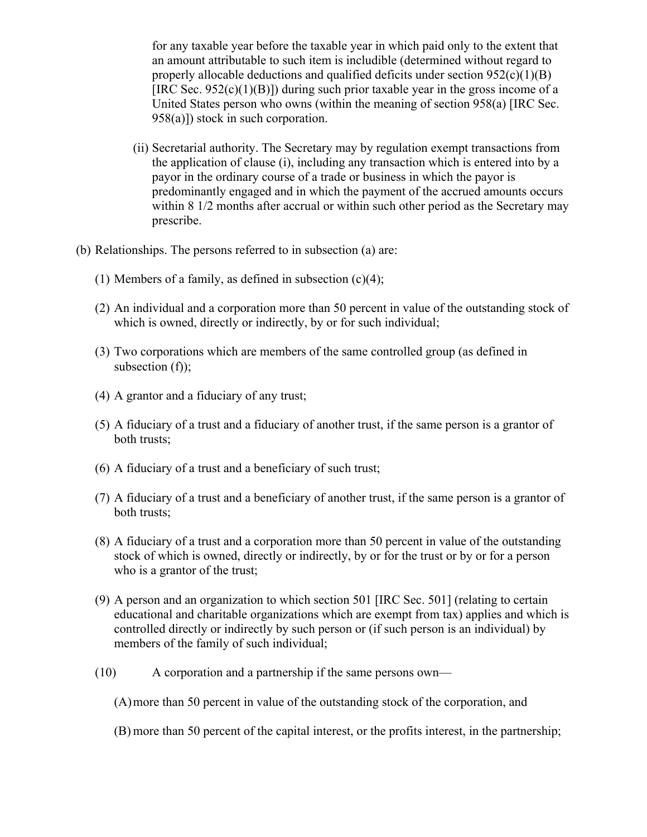for any taxable year before the taxable year in which paid only to the extent that an amount attributable to such item is includible (determined without regard to properly allocable deductions and qualified deficits under section  $952(c)(1)(B)$ [IRC Sec.  $952(c)(1)(B)$ ]) during such prior taxable year in the gross income of a United States person who owns (within the meaning of section 958(a) [IRC Sec. 958(a)]) stock in such corporation.

- (ii) Secretarial authority. The Secretary may by regulation exempt transactions from the application of clause (i), including any transaction which is entered into by a payor in the ordinary course of a trade or business in which the payor is predominantly engaged and in which the payment of the accrued amounts occurs within 8 1/2 months after accrual or within such other period as the Secretary may prescribe.
- (b) Relationships. The persons referred to in subsection (a) are:
	- (1) Members of a family, as defined in subsection  $(c)(4)$ ;
	- (2) An individual and a corporation more than 50 percent in value of the outstanding stock of which is owned, directly or indirectly, by or for such individual;
	- (3) Two corporations which are members of the same controlled group (as defined in subsection  $(f)$ ;
	- (4) A grantor and a fiduciary of any trust;
	- (5) A fiduciary of a trust and a fiduciary of another trust, if the same person is a grantor of both trusts;
	- (6) A fiduciary of a trust and a beneficiary of such trust;
	- (7) A fiduciary of a trust and a beneficiary of another trust, if the same person is a grantor of both trusts;
	- (8) A fiduciary of a trust and a corporation more than 50 percent in value of the outstanding stock of which is owned, directly or indirectly, by or for the trust or by or for a person who is a grantor of the trust;
	- (9) A person and an organization to which section 501 [IRC Sec. 501] (relating to certain educational and charitable organizations which are exempt from tax) applies and which is controlled directly or indirectly by such person or (if such person is an individual) by members of the family of such individual;
	- (10) A corporation and a partnership if the same persons own—
		- (A)more than 50 percent in value of the outstanding stock of the corporation, and
		- (B) more than 50 percent of the capital interest, or the profits interest, in the partnership;